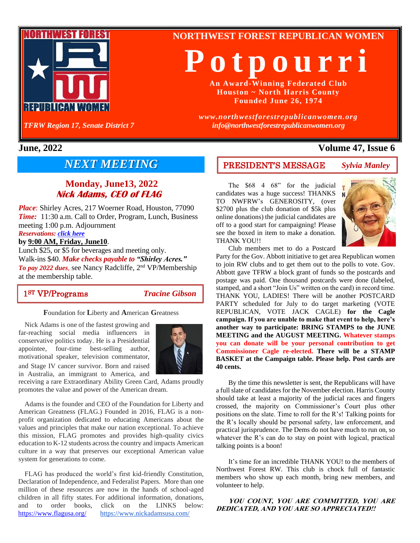

**NORTHWEST FOREST REPUBLICAN WOMEN**

**P o t p o u r r i**

**An Award-Winning Federated Club Houston ~ North Harris County Founded June 26, 1974**

*www.northwestforestrepublicanwomen.org info@northwestforestrepublicanwomen.org*

# *NEXT MEETING*

# **Monday, June13, 2022 Nick Adams, CEO of FLAG**

*Place*: Shirley Acres, 217 Woerner Road, Houston, 77090 *Time:* 11:30 a.m. Call to Order, Program, Lunch, Business meeting 1:00 p.m. Adjournment

## *Reservations: [click here](https://www.northwestforestrepublicanwomen.org/luncheon-form/)*

## **by 9:00 AM, Friday, June10**.

Lunch \$25, or \$5 for beverages and meeting only. Walk-ins \$40. *Make checks payable to "Shirley Acres." To pay 2022 dues*, see Nancy Radcliffe, 2nd VP/Membership at the membership table.

1ST VP/Programs*Tracine Gibson*

**F**oundation for **L**iberty and **A**merican **G**reatness

Nick Adams is one of the fastest growing and far-reaching social media influencers in conservative politics today. He is a Presidential appointee, four-time best-selling author, motivational speaker, television commentator, and Stage IV cancer survivor. Born and raised in Australia, an immigrant to America, and



receiving a rare Extraordinary Ability Green Card, Adams proudly promotes the value and power of the American dream.

Adams is the founder and CEO of the Foundation for Liberty and American Greatness (FLAG.) Founded in 2016, FLAG is a nonprofit organization dedicated to educating Americans about the values and principles that make our nation exceptional. To achieve this mission, FLAG promotes and provides high-quality civics education to K-12 students across the country and impacts American culture in a way that preserves our exceptional American value system for generations to come.

FLAG has produced the world's first kid-friendly Constitution, Declaration of Independence, and Federalist Papers. More than one million of these resources are now in the hands of school-aged children in all fifty states. For additional information, donations, and to order books, click on the LINKS below: <https://www.flagusa.org/> <https://www.nickadamsusa.com/>

# **June, 2022 Volume 47, Issue 6**

## PRESIDENT'S MESSAGE *Sylvia Manley*

The \$68 4 68" for the judicial candidates was a huge success! THANKS TO NWFRW's GENEROSITY, (over \$2700 plus the club donation of \$5k plus online donations) the judicial candidates are off to a good start for campaigning! Please see the boxed in item to make a donation. THANK YOU!!



Club members met to do a Postcard

Party for the Gov. Abbott initiative to get area Republican women to join RW clubs and to get them out to the polls to vote. Gov. Abbott gave TFRW a block grant of funds so the postcards and postage was paid. One thousand postcards were done (labeled, stamped, and a short "Join Us" written on the card) in record time. THANK YOU, LADIES! There will be another POSTCARD PARTY scheduled for July to do target marketing (VOTE REPUBLICAN, VOTE JACK CAGLE) **for the Cagle campaign. If you are unable to make that event to help, here's another way to participate: BRING STAMPS to the JUNE MEETING and the AUGUST MEETING. Whatever stamps you can donate will be your personal contribution to get Commissioner Cagle re-elected. There will be a STAMP BASKET at the Campaign table. Please help. Post cards are 40 cents.**

By the time this newsletter is sent, the Republicans will have a full slate of candidates for the November election. Harris County should take at least a majority of the judicial races and fingers crossed, the majority on Commissioner's Court plus other positions on the slate. Time to roll for the R's! Talking points for the R's locally should be personal safety, law enforcement, and practical jurisprudence. The Dems do not have much to run on, so whatever the R's can do to stay on point with logical, practical talking points is a boon!

It's time for an incredible THANK YOU! to the members of Northwest Forest RW. This club is chock full of fantastic members who show up each month, bring new members, and volunteer to help.

## **YOU COUNT, YOU ARE COMMITTED, YOU ARE DEDICATED, AND YOU ARE SO APPRECIATED!!**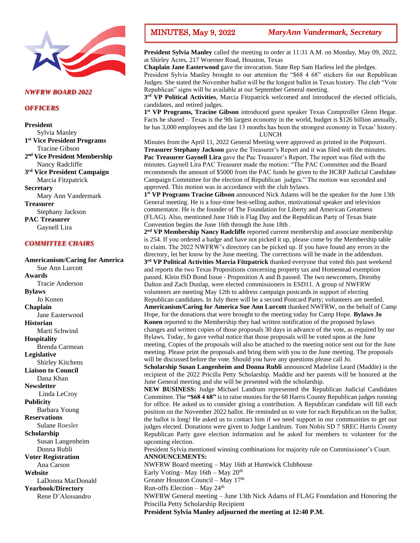

### *NWFRW BOARD 2022*

### *OFFICERS*

**President** Sylvia Manley **1 st Vice President Programs** Tracine Gibson **2 nd Vice President Membership** Nancy Radcliffe **3 rd Vice President Campaign** Marcia Fitzpatrick **Secretary** Mary Ann Vandermark **Treasurer** Stephany Jackson **PAC Treasurer** Gaynell Lira

### *COMMITTEE CHAIRS*

**Americanism/Caring for America** Sue Ann Lurcott **Awards** Tracie Anderson **Bylaws** Jo Konen **Chaplain** Jane Easterwood **Historian** Marti Schwind **Hospitality** Brenda Carmean **Legislative** Shirley Kitchens **Liaison to Council** Dana Khan **Newsletter** Linda LeCroy **Publicity** Barbara Young **Reservations** Sulane Roesler **Scholarship** Susan Langenheim Donna Rubli **Voter Registration** Ana Carson **Website** LaDonna MacDonald **Yearbook/Directory** Rene D'Alessandro

**President Sylvia Manley** called the meeting to order at 11:31 A.M. on Monday, May 09, 2022, at Shirley Acres, 217 Woerner Road, Houston, Texas

**Chaplain Jane Easterwood** gave the invocation. State Rep Sam Harless led the pledges. President Sylvia Manley brought to our attention the "\$68 4 68" stickers for our Republican Judges. She stated the November ballot will be the longest ballot in Texas history. The club "Vote Republican" signs will be available at our September General meeting.

**3 rd VP Political Activities**, Marcia Fitzpatrick welcomed and introduced the elected officials, candidates, and retired judges.

1<sup>st</sup> VP Programs, Tracine Gibson introduced guest speaker Texas Comptroller Glenn Hegar. Facts he shared – Texas is the 9th largest economy in the world, budget is \$126 billion annually, he has 3,000 employees and the last 13 months has been the strongest economy in Texas' history. LUNCH

Minutes from the April 11, 2022 General Meeting were approved as printed in the Potpourri. **Treasurer Stephany Jackson** gave the Treasurer's Report and it was filed with the minutes. **Pac Treasurer Gaynell Lira** gave the Pac Treasurer's Report. The report was filed with the minutes. Gaynell Lira PAC Treasurer made the motion: "The PAC Committee and the Board recommends the amount of \$5000 from the PAC funds be given to the HCRP Judicial Candidate Campaign Committee for the election of Republican judges." The motion was seconded and approved. This motion was in accordance with the club bylaws.

**1 st VP Programs Tracine Gibson** announced Nick Adams will be the speaker for the June 13th General meeting. He is a four-time best-selling author, motivational speaker and television commentator. He is the founder of The Foundation for Liberty and American Greatness (FLAG). Also, mentioned June 16th is Flag Day and the Republican Party of Texas State Convention begins the June 16th through the June 18th .

2<sup>nd</sup> VP Membership Nancy Radcliffe reported current membership and associate membership is 254. If you ordered a badge and have not picked it up, please come by the Membership table to claim. The 2022 NWFRW's directory can be picked up. If you have found any errors in the directory, let her know by the June meeting. The corrections will be made in the addendum.

**3 rd VP Political Activities Marcia Fitzpatrick** thanked everyone that voted this past weekend and reports the two Texas Propositions concerning property tax and Homestead exemption passed. Klein ISD Bond Issue - Proposition A and B passed. The two newcomers, Dorothy Dalton and Zach Dunlap, were elected commissioners in ESD11. A group of NWFRW volunteers are meeting May 12th to address campaign postcards in support of electing Republican candidates. In July there will be a second Postcard Party; volunteers are needed.

**Americanism/Caring for America Sue Ann Lurcott** thanked NWFRW, on the behalf of Camp Hope, for the donations that were brought to the meeting today for Camp Hope. **Bylaws Jo Konen** reported to the Membership they had written notification of the proposed bylaws changes and written copies of those proposals 30 days in advance of the vote, as required by our Bylaws. Today, Jo gave verbal notice that those proposals will be voted upon at the June meeting. Copies of the proposals will also be attached to the meeting notice sent out for the June meeting. Please print the proposals and bring them with you to the June meeting. The proposals will be discussed before the vote. Should you have any questions please call Jo.

**Scholarship Susan Langenheim and Donna Rubli** announced Madeline Leard (Maddie) is the recipient of the 2022 Pricilla Petty Scholarship. Maddie and her parents will be honored at the June General meeting and she will be presented with the scholarship.

**NEW BUSINESS:** Judge Michael Landrum represented the Republican Judicial Candidates Committee. The **"\$68 4 68"** is to raise monies for the 68 Harris County Republican judges running for office. He asked us to consider giving a contribution. A Republican candidate will fill each position on the November 2022 ballot. He reminded us to vote for each Republican on the ballot; the ballot is long! He asked us to contact him if we need support in our communities to get our judges elected. Donations were given to Judge Landrum. Tom Nobis SD 7 SREC Harris County Republican Party gave election information and he asked for members to volunteer for the upcoming election.

President Sylvia mentioned winning combinations for majority rule on Commissioner's Court. **ANNOUNCEMENTS:**

NWFRW Board meeting – May 16th at Huntwick Clubhouse Early Voting–May 16th – May  $20<sup>th</sup>$ Greater Houston Council – May 17th Run-offs Election – May 24th NWFRW General meeting – June 13th Nick Adams of FLAG Foundation and Honoring the Priscilla Petty Scholarship Recipient

**President Sylvia Manley adjourned the meeting at 12:40 P.M.**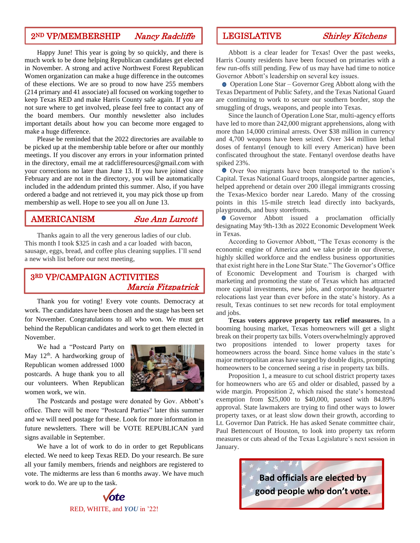# 2<sup>ND</sup> VP/MEMBERSHIP Nancy Radcliffe LEGISLATIVE Shirley Kitchens

Happy June! This year is going by so quickly, and there is much work to be done helping Republican candidates get elected in November. A strong and active Northwest Forest Republican Women organization can make a huge difference in the outcomes of these elections. We are so proud to now have 255 members (214 primary and 41 associate) all focused on working together to keep Texas RED and make Harris County safe again. If you are not sure where to get involved, please feel free to contact any of the board members. Our monthly newsletter also includes important details about how you can become more engaged to make a huge difference.

Please be reminded that the 2022 directories are available to be picked up at the membership table before or after our monthly meetings. If you discover any errors in your information printed in the directory, email me at radclifferesources@gmail.com with your corrections no later than June 13. If you have joined since February and are not in the directory, you will be automatically included in the addendum printed this summer. Also, if you have ordered a badge and not retrieved it, you may pick those up from membership as well. Hope to see you all on June 13.

## AMERICANISM Sue Ann Lurcott

Thanks again to all the very generous ladies of our club. This month I took \$325 in cash and a car loaded with bacon, sausage, eggs, bread, and coffee plus cleaning supplies. I'll send a new wish list before our next meeting,

## 3RD VP/CAMPAIGN ACTIVITIES Marcia Fitzpatrick

Thank you for voting! Every vote counts. Democracy at work. The candidates have been chosen and the stage has been set for November. Congratulations to all who won. We must get behind the Republican candidates and work to get them elected in November.

We had a "Postcard Party on May  $12<sup>th</sup>$ . A hardworking group of Republican women addressed 1000 postcards. A huge thank you to all our volunteers. When Republican women work, we win.



The Postcards and postage were donated by Gov. Abbott's office. There will be more "Postcard Parties" later this summer and we will need postage for these. Look for more information in future newsletters. There will be VOTE REPUBLICAN yard signs available in September.

We have a lot of work to do in order to get Republicans elected. We need to keep Texas RED. Do your research. Be sure all your family members, friends and neighbors are registered to vote. The midterms are less than 6 months away. We have much work to do. We are up to the task.



Abbott is a clear leader for Texas! Over the past weeks, Harris County residents have been focused on primaries with a few run-offs still pending. Few of us may have had time to notice Governor Abbott's leadership on several key issues.

Operation Lone Star – Governor Greg Abbott along with the Texas Department of Public Safety, and the Texas National Guard are continuing to work to secure our southern border, stop the smuggling of drugs, weapons, and people into Texas.

Since the launch of Operation Lone Star, multi-agency efforts have led to more than 242,000 migrant apprehensions, along with more than 14,000 criminal arrests. Over \$38 million in currency and 4,700 weapons have been seized. Over 344 million lethal doses of fentanyl (enough to kill every American) have been confiscated throughout the state. Fentanyl overdose deaths have spiked 23%.

Over 9oo migrants have been transported to the nation's Capital. Texas National Guard troops, alongside partner agencies, helped apprehend or detain over 200 illegal immigrants crossing the Texas-Mexico border near Laredo. Many of the crossing points in this 15-mile stretch lead directly into backyards, playgrounds, and busy storefronts.

Governor Abbott issued a proclamation officially designating May 9th-13th as 2022 Economic Development Week in Texas.

According to Governor Abbott, "The Texas economy is the economic engine of America and we take pride in our diverse, highly skilled workforce and the endless business opportunities that exist right here in the Lone Star State." The Governor's Office of Economic Development and Tourism is charged with marketing and promoting the state of Texas which has attracted more capital investments, new jobs, and corporate headquarter relocations last year than ever before in the state's history. As a result, Texas continues to set new records for total employment and jobs.

**Texas voters approve property tax relief measures.** In a booming housing market, Texas homeowners will get a slight break on their property tax bills. Voters overwhelmingly approved two propositions intended to lower property taxes for homeowners across the board. Since home values in the state's major metropolitan areas have surged by double digits, prompting homeowners to be concerned seeing a rise in property tax bills.

Proposition 1, a measure to cut school district property taxes for homeowners who are 65 and older or disabled, passed by a wide margin. Proposition 2, which raised the state's homestead exemption from \$25,000 to \$40,000, passed with 84.89% approval. State lawmakers are trying to find other ways to lower property taxes, or at least slow down their growth, according to Lt. Governor Dan Patrick. He has asked Senate committee chair, Paul Bettencourt of Houston, to look into property tax reform measures or cuts ahead of the Texas Legislature's next session in January.